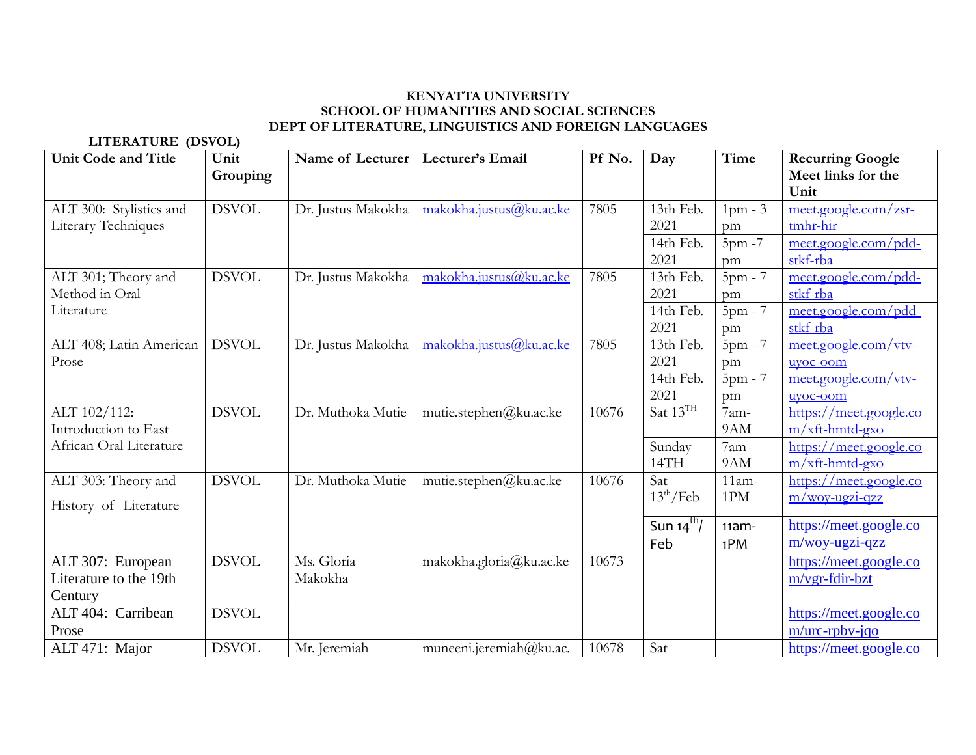## **KENYATTA UNIVERSITY SCHOOL OF HUMANITIES AND SOCIAL SCIENCES DEPT OF LITERATURE, LINGUISTICS AND FOREIGN LANGUAGES**

**LITERATURE (DSVOL)**

| <b>Unit Code and Title</b>                             | Unit         | Name of Lecturer      | Lecturer's Email        | Pf No. | Day                          | Time            | <b>Recurring Google</b>                     |
|--------------------------------------------------------|--------------|-----------------------|-------------------------|--------|------------------------------|-----------------|---------------------------------------------|
|                                                        | Grouping     |                       |                         |        |                              |                 | Meet links for the<br>Unit                  |
| ALT 300: Stylistics and<br>Literary Techniques         | <b>DSVOL</b> | Dr. Justus Makokha    | makokha.justus@ku.ac.ke | 7805   | 13th Feb.<br>2021            | $1pm - 3$<br>pm | meet.google.com/zsr-<br>tmhr-hir            |
|                                                        |              |                       |                         |        | 14th Feb.<br>2021            | 5pm -7<br>pm    | meet.google.com/pdd-<br>stkf-rba            |
| ALT 301; Theory and<br>Method in Oral                  | <b>DSVOL</b> | Dr. Justus Makokha    | makokha.justus@ku.ac.ke | 7805   | 13th Feb.<br>2021            | $5pm - 7$<br>pm | meet.google.com/pdd-<br>stkf-rba            |
| Literature                                             |              |                       |                         |        | 14th Feb.<br>2021            | $5pm - 7$<br>pm | meet.google.com/pdd-<br>stkf-rba            |
| ALT 408; Latin American<br>Prose                       | <b>DSVOL</b> | Dr. Justus Makokha    | makokha.justus@ku.ac.ke | 7805   | 13th Feb.<br>2021            | $5pm - 7$<br>pm | meet.google.com/vtv-<br>uyoc-oom            |
|                                                        |              |                       |                         |        | 14th Feb.<br>2021            | $5pm - 7$<br>pm | meet.google.com/vtv-<br>uvoc-oom            |
| ALT 102/112:<br>Introduction to East                   | <b>DSVOL</b> | Dr. Muthoka Mutie     | mutie.stephen@ku.ac.ke  | 10676  | Sat 13TH                     | 7am-<br>9AM     | https://meet.google.co<br>$m$ /xft-hmtd-gxo |
| African Oral Literature                                |              |                       |                         |        | Sunday<br>14TH               | 7am-<br>9AM     | https://meet.google.co<br>$m/xft$ -hmtd-gxo |
| ALT 303: Theory and<br>History of Literature           | <b>DSVOL</b> | Dr. Muthoka Mutie     | mutie.stephen@ku.ac.ke  | 10676  | Sat<br>$13^{\text{th}}$ /Feb | $11am-$<br>1PM  | https://meet.google.co<br>m/woy-ugzi-qzz    |
|                                                        |              |                       |                         |        | Sun $14^{th}$ /<br>Feb       | $11am -$<br>1PM | https://meet.google.co<br>m/woy-ugzi-qzz    |
| ALT 307: European<br>Literature to the 19th<br>Century | <b>DSVOL</b> | Ms. Gloria<br>Makokha | makokha.gloria@ku.ac.ke | 10673  |                              |                 | https://meet.google.co<br>m/vgr-fdir-bzt    |
| ALT 404: Carribean<br>Prose                            | <b>DSVOL</b> |                       |                         |        |                              |                 | https://meet.google.co<br>$m/$ urc-rpbv-jqo |
| ALT 471: Major                                         | <b>DSVOL</b> | Mr. Jeremiah          | muneeni.jeremiah@ku.ac. | 10678  | Sat                          |                 | https://meet.google.co                      |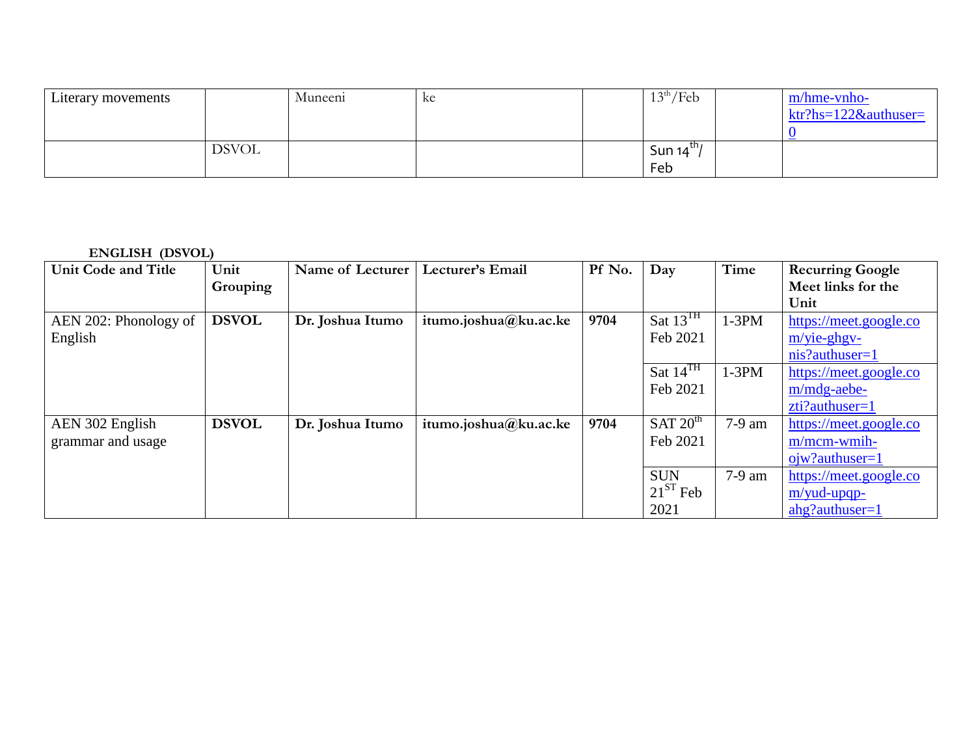| Literary movements |              | Muneeni | кe | $13^{\text{th}}$ /Feb | m/hme-vnho-                   |
|--------------------|--------------|---------|----|-----------------------|-------------------------------|
|                    |              |         |    |                       | $ktr?hs=122&\text{authuser}=$ |
|                    |              |         |    |                       |                               |
|                    | <b>DSVOL</b> |         |    | Sun $14^{\text{th}}/$ |                               |
|                    |              |         |    | Feb                   |                               |

**ENGLISH (DSVOL)**

| <b>Unit Code and Title</b> | Unit         | Name of Lecturer | Lecturer's Email      | Pf No. | Day                  | Time     | <b>Recurring Google</b> |
|----------------------------|--------------|------------------|-----------------------|--------|----------------------|----------|-------------------------|
|                            | Grouping     |                  |                       |        |                      |          | Meet links for the      |
|                            |              |                  |                       |        |                      |          | Unit                    |
| AEN 202: Phonology of      | <b>DSVOL</b> | Dr. Joshua Itumo | itumo.joshua@ku.ac.ke | 9704   | Sat $13^{\text{TH}}$ | $1-3PM$  | https://meet.google.co  |
| English                    |              |                  |                       |        | Feb 2021             |          | $m/$ yie-ghgv-          |
|                            |              |                  |                       |        |                      |          | $nis? authorser=1$      |
|                            |              |                  |                       |        | Sat $14^{TH}$        | $1-3PM$  | https://meet.google.co  |
|                            |              |                  |                       |        | Feb 2021             |          | m/mdg-aebe-             |
|                            |              |                  |                       |        |                      |          | zti?authuser=1          |
| AEN 302 English            | <b>DSVOL</b> | Dr. Joshua Itumo | itumo.joshua@ku.ac.ke | 9704   | SAT 20 <sup>th</sup> | 7-9 am   | https://meet.google.co  |
| grammar and usage          |              |                  |                       |        | Feb 2021             |          | $m/mcm$ -wmih-          |
|                            |              |                  |                       |        |                      |          | $ojw$ ? authuser = 1    |
|                            |              |                  |                       |        | <b>SUN</b>           | $7-9$ am | https://meet.google.co  |
|                            |              |                  |                       |        | $21^{ST}$ Feb        |          | $m$ /yud-upqp-          |
|                            |              |                  |                       |        | 2021                 |          | $ahg$ ? authuser=1      |